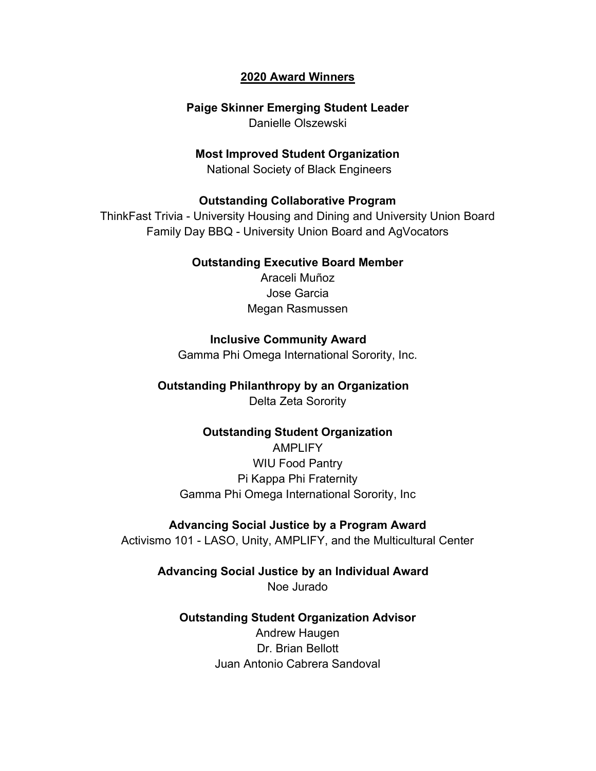## 2020 Award Winners

## Paige Skinner Emerging Student Leader

Danielle Olszewski

## Most Improved Student Organization

National Society of Black Engineers

## Outstanding Collaborative Program

ThinkFast Trivia - University Housing and Dining and University Union Board Family Day BBQ - University Union Board and AgVocators

### Outstanding Executive Board Member

Araceli Muñoz Jose Garcia Megan Rasmussen

## Inclusive Community Award

Gamma Phi Omega International Sorority, Inc.

# Outstanding Philanthropy by an Organization

Delta Zeta Sorority

# Outstanding Student Organization

AMPLIFY WIU Food Pantry Pi Kappa Phi Fraternity Gamma Phi Omega International Sorority, Inc

## Advancing Social Justice by a Program Award

Activismo 101 - LASO, Unity, AMPLIFY, and the Multicultural Center

# Advancing Social Justice by an Individual Award

Noe Jurado

## Outstanding Student Organization Advisor

Andrew Haugen Dr. Brian Bellott Juan Antonio Cabrera Sandoval